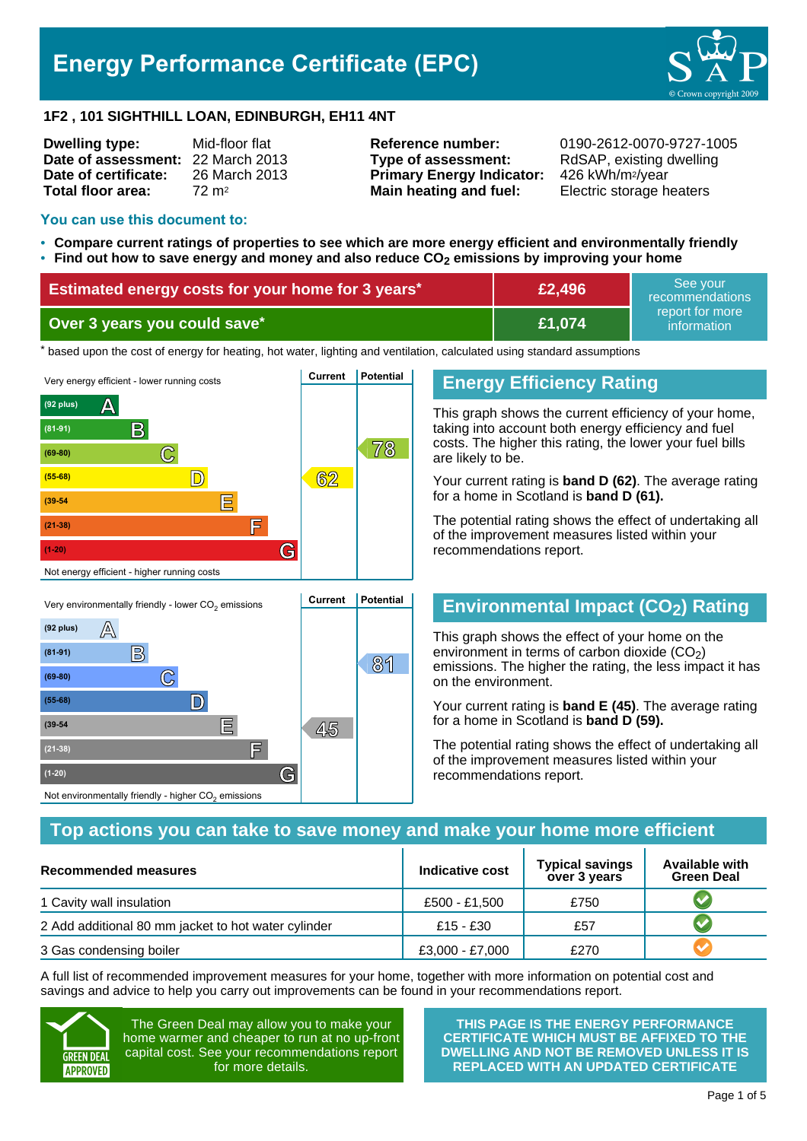# **Energy Performance Certificate (EPC)**



#### **1F2 , 101 SIGHTHILL LOAN, EDINBURGH, EH11 4NT**

| Mid-floor flat                    |
|-----------------------------------|
| Date of assessment: 22 March 2013 |
| 26 March 2013                     |
| $72 \text{ m}^2$                  |
|                                   |

**Type of assessment:** RdSAP, existing dwelling **Primary Energy Indicator:** 426 kWh/m2/year **Main heating and fuel:** Electric storage heaters

**Reference number:** 0190-2612-0070-9727-1005

#### **You can use this document to:**

- **Compare current ratings of properties to see which are more energy efficient and environmentally friendly Find out how to save energy and money and also reduce CO2 emissions by improving your home**
- •

| <b>Estimated energy costs for your home for 3 years*</b> | £2,496 | See vour<br>recommendations                 |
|----------------------------------------------------------|--------|---------------------------------------------|
| Over 3 years you could save*                             | £1.074 | report for more<br>information <sup>1</sup> |

thased upon the cost of energy for heating, hot water, lighting and ventilation, calculated using standard assumptions



# **Energy Efficiency Rating**

This graph shows the current efficiency of your home, taking into account both energy efficiency and fuel costs. The higher this rating, the lower your fuel bills are likely to be.

Your current rating is **band D (62)**. The average rating for a home in Scotland is **band D (61).**

The potential rating shows the effect of undertaking all of the improvement measures listed within your recommendations report.

# **Environmental Impact (CO2) Rating**

This graph shows the effect of your home on the environment in terms of carbon dioxide  $(CO<sub>2</sub>)$ emissions. The higher the rating, the less impact it has on the environment.

Your current rating is **band E (45)**. The average rating for a home in Scotland is **band D (59).**

The potential rating shows the effect of undertaking all of the improvement measures listed within your recommendations report.

### **Top actions you can take to save money and make your home more efficient**

| Recommended measures                                | Indicative cost | <b>Typical savings</b><br>over 3 years | <b>Available with</b><br><b>Green Deal</b> |
|-----------------------------------------------------|-----------------|----------------------------------------|--------------------------------------------|
| 1 Cavity wall insulation                            | £500 - £1.500   | £750                                   |                                            |
| 2 Add additional 80 mm jacket to hot water cylinder | £15 - £30       | £57                                    |                                            |
| 3 Gas condensing boiler                             | £3,000 - £7,000 | £270                                   |                                            |

A full list of recommended improvement measures for your home, together with more information on potential cost and savings and advice to help you carry out improvements can be found in your recommendations report.



The Green Deal may allow you to make your home warmer and cheaper to run at no up-front capital cost. See your recommendations report for more details.

**THIS PAGE IS THE ENERGY PERFORMANCE CERTIFICATE WHICH MUST BE AFFIXED TO THE DWELLING AND NOT BE REMOVED UNLESS IT IS REPLACED WITH AN UPDATED CERTIFICATE**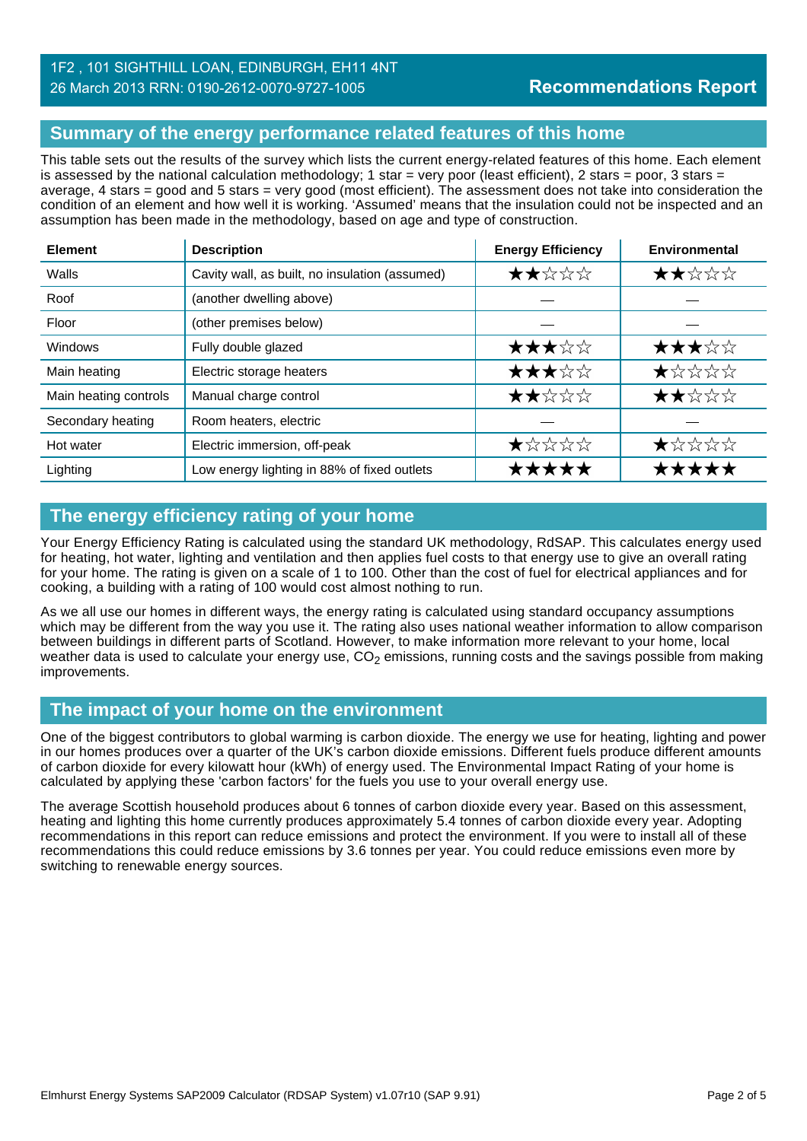# 1F2 , 101 SIGHTHILL LOAN, EDINBURGH, EH11 4NT 26 March 2013 RRN: 0190-2612-0070-9727-1005

# **Summary of the energy performance related features of this home**

This table sets out the results of the survey which lists the current energy-related features of this home. Each element is assessed by the national calculation methodology; 1 star = very poor (least efficient), 2 stars = poor, 3 stars = average, 4 stars = good and 5 stars = very good (most efficient). The assessment does not take into consideration the condition of an element and how well it is working. 'Assumed' means that the insulation could not be inspected and an assumption has been made in the methodology, based on age and type of construction.

| <b>Element</b>        | <b>Description</b>                             | <b>Energy Efficiency</b> | Environmental                                                        |
|-----------------------|------------------------------------------------|--------------------------|----------------------------------------------------------------------|
| Walls                 | Cavity wall, as built, no insulation (assumed) | ★★☆☆☆                    | ★★☆☆☆                                                                |
| Roof                  | (another dwelling above)                       |                          |                                                                      |
| Floor                 | (other premises below)                         |                          |                                                                      |
| <b>Windows</b>        | Fully double glazed                            | ★★★☆☆                    | ★★★☆☆                                                                |
| Main heating          | Electric storage heaters                       | ★★★☆☆                    | $\bigstar\uparrow\downarrow\downarrow\downarrow\downarrow\downarrow$ |
| Main heating controls | Manual charge control                          | ★★☆☆☆                    | ★★☆☆☆                                                                |
| Secondary heating     | Room heaters, electric                         |                          |                                                                      |
| Hot water             | Electric immersion, off-peak                   | ★☆☆☆☆                    | ★☆☆☆☆                                                                |
| Lighting              | Low energy lighting in 88% of fixed outlets    | ★★★★★                    | *****                                                                |

# **The energy efficiency rating of your home**

Your Energy Efficiency Rating is calculated using the standard UK methodology, RdSAP. This calculates energy used for heating, hot water, lighting and ventilation and then applies fuel costs to that energy use to give an overall rating for your home. The rating is given on a scale of 1 to 100. Other than the cost of fuel for electrical appliances and for cooking, a building with a rating of 100 would cost almost nothing to run.

As we all use our homes in different ways, the energy rating is calculated using standard occupancy assumptions which may be different from the way you use it. The rating also uses national weather information to allow comparison between buildings in different parts of Scotland. However, to make information more relevant to your home, local weather data is used to calculate your energy use,  $CO<sub>2</sub>$  emissions, running costs and the savings possible from making improvements.

### **The impact of your home on the environment**

One of the biggest contributors to global warming is carbon dioxide. The energy we use for heating, lighting and power in our homes produces over a quarter of the UK's carbon dioxide emissions. Different fuels produce different amounts of carbon dioxide for every kilowatt hour (kWh) of energy used. The Environmental Impact Rating of your home is calculated by applying these 'carbon factors' for the fuels you use to your overall energy use.

The average Scottish household produces about 6 tonnes of carbon dioxide every year. Based on this assessment, heating and lighting this home currently produces approximately 5.4 tonnes of carbon dioxide every year. Adopting recommendations in this report can reduce emissions and protect the environment. If you were to install all of these recommendations this could reduce emissions by 3.6 tonnes per year. You could reduce emissions even more by switching to renewable energy sources.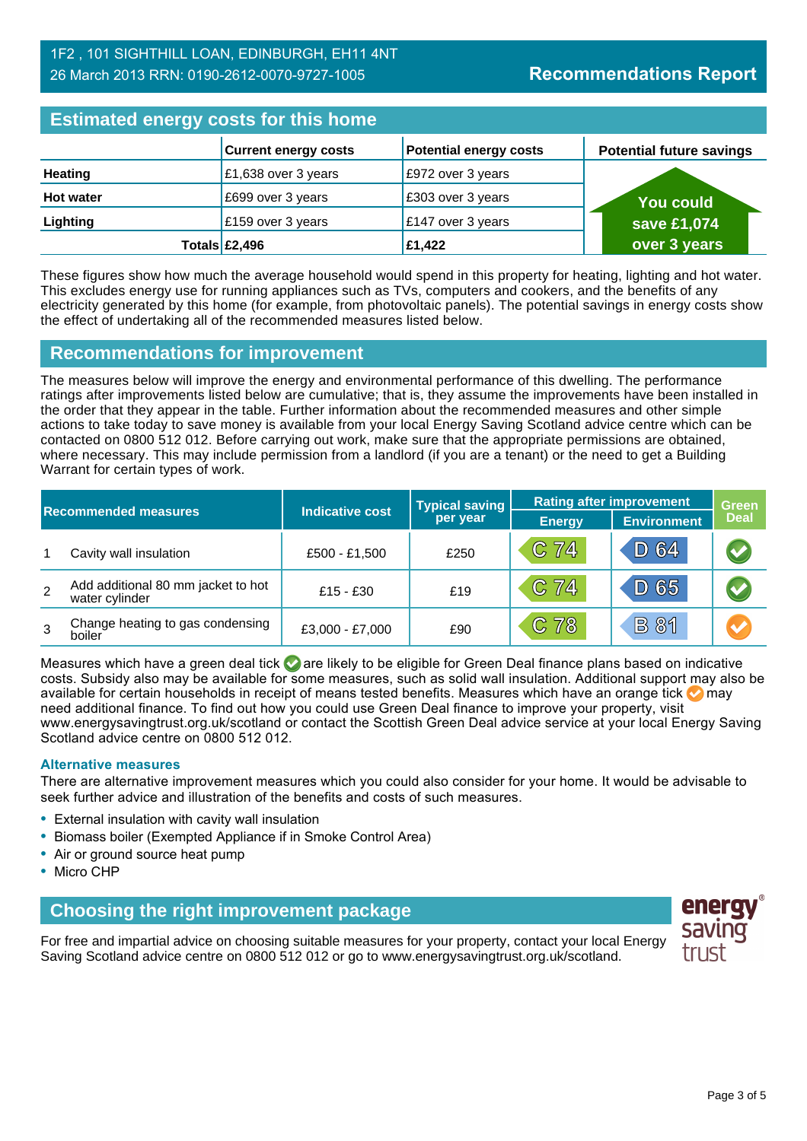### 1F2 , 101 SIGHTHILL LOAN, EDINBURGH, EH11 4NT 26 March 2013 RRN: 0190-2612-0070-9727-1005

| <b>Estimated energy costs for this home</b> |                             |                               |                                 |  |
|---------------------------------------------|-----------------------------|-------------------------------|---------------------------------|--|
|                                             | <b>Current energy costs</b> | <b>Potential energy costs</b> | <b>Potential future savings</b> |  |
| <b>Heating</b>                              | £1,638 over 3 years         | £972 over 3 years             |                                 |  |
| <b>Hot water</b>                            | £699 over 3 years           | £303 over 3 years             | <b>You could</b>                |  |
| Lighting                                    | £159 over 3 years           | £147 over 3 years             | save £1,074                     |  |
|                                             | Totals $\mathsf{E}2,496$    | £1,422                        | over 3 years                    |  |

These figures show how much the average household would spend in this property for heating, lighting and hot water. This excludes energy use for running appliances such as TVs, computers and cookers, and the benefits of any electricity generated by this home (for example, from photovoltaic panels). The potential savings in energy costs show the effect of undertaking all of the recommended measures listed below.

# **Recommendations for improvement**

The measures below will improve the energy and environmental performance of this dwelling. The performance ratings after improvements listed below are cumulative; that is, they assume the improvements have been installed in the order that they appear in the table. Further information about the recommended measures and other simple actions to take today to save money is available from your local Energy Saving Scotland advice centre which can be contacted on 0800 512 012. Before carrying out work, make sure that the appropriate permissions are obtained, where necessary. This may include permission from a landlord (if you are a tenant) or the need to get a Building Warrant for certain types of work.

| <b>Recommended measures</b> |                                                      |                        | <b>Typical saving</b> | <b>Rating after improvement</b> |                    | <b>Green</b>          |
|-----------------------------|------------------------------------------------------|------------------------|-----------------------|---------------------------------|--------------------|-----------------------|
|                             |                                                      | <b>Indicative cost</b> | per year              | <b>Energy</b>                   | <b>Environment</b> | <b>Deal</b>           |
|                             | Cavity wall insulation                               | £500 - £1,500          | £250                  | C 74                            | D 64               |                       |
| 2                           | Add additional 80 mm jacket to hot<br>water cylinder | $£15 - £30$            | £19                   | C 74                            | D 65               |                       |
| 3                           | Change heating to gas condensing<br>boiler           | £3,000 - £7,000        | £90                   | C 78                            | <b>B 81</b>        | $\blacktriangleright$ |

Measures which have a green deal tick  $\bullet$  are likely to be eligible for Green Deal finance plans based on indicative costs. Subsidy also may be available for some measures, such as solid wall insulation. Additional support may also be available for certain households in receipt of means tested benefits. Measures which have an orange tick **on** may need additional finance. To find out how you could use Green Deal finance to improve your property, visit www.energysavingtrust.org.uk/scotland or contact the Scottish Green Deal advice service at your local Energy Saving Scotland advice centre on 0800 512 012.

#### **Alternative measures**

There are alternative improvement measures which you could also consider for your home. It would be advisable to seek further advice and illustration of the benefits and costs of such measures.

- External insulation with cavity wall insulation
- Biomass boiler (Exempted Appliance if in Smoke Control Area)
- Air or ground source heat pump
- Micro CHP

### **Choosing the right improvement package**

For free and impartial advice on choosing suitable measures for your property, contact your local Energy Saving Scotland advice centre on 0800 512 012 or go to www.energysavingtrust.org.uk/scotland.

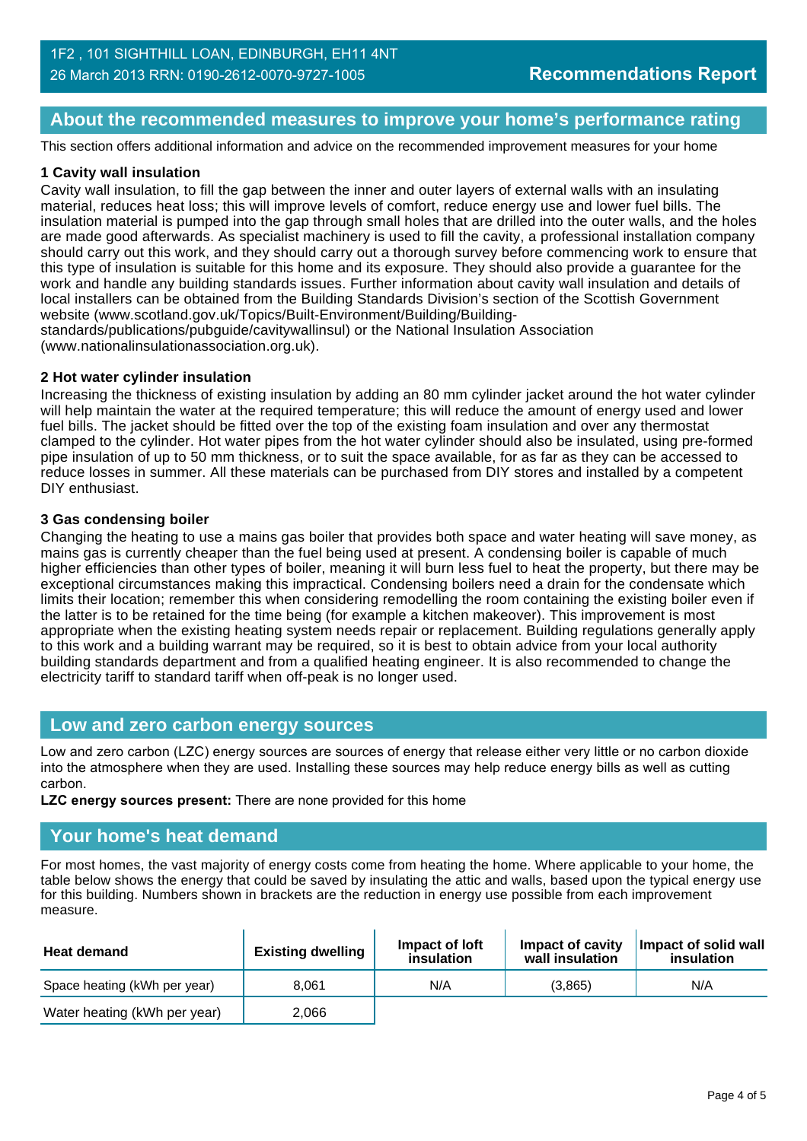# **About the recommended measures to improve your home's performance rating**

This section offers additional information and advice on the recommended improvement measures for your home

#### **1 Cavity wall insulation**

Cavity wall insulation, to fill the gap between the inner and outer layers of external walls with an insulating material, reduces heat loss; this will improve levels of comfort, reduce energy use and lower fuel bills. The insulation material is pumped into the gap through small holes that are drilled into the outer walls, and the holes are made good afterwards. As specialist machinery is used to fill the cavity, a professional installation company should carry out this work, and they should carry out a thorough survey before commencing work to ensure that this type of insulation is suitable for this home and its exposure. They should also provide a guarantee for the work and handle any building standards issues. Further information about cavity wall insulation and details of local installers can be obtained from the Building Standards Division's section of the Scottish Government website (www.scotland.gov.uk/Topics/Built-Environment/Building/Building-

standards/publications/pubguide/cavitywallinsul) or the National Insulation Association (www.nationalinsulationassociation.org.uk).

#### **2 Hot water cylinder insulation**

Increasing the thickness of existing insulation by adding an 80 mm cylinder jacket around the hot water cylinder will help maintain the water at the required temperature; this will reduce the amount of energy used and lower fuel bills. The jacket should be fitted over the top of the existing foam insulation and over any thermostat clamped to the cylinder. Hot water pipes from the hot water cylinder should also be insulated, using pre-formed pipe insulation of up to 50 mm thickness, or to suit the space available, for as far as they can be accessed to reduce losses in summer. All these materials can be purchased from DIY stores and installed by a competent DIY enthusiast.

#### **3 Gas condensing boiler**

Changing the heating to use a mains gas boiler that provides both space and water heating will save money, as mains gas is currently cheaper than the fuel being used at present. A condensing boiler is capable of much higher efficiencies than other types of boiler, meaning it will burn less fuel to heat the property, but there may be exceptional circumstances making this impractical. Condensing boilers need a drain for the condensate which limits their location; remember this when considering remodelling the room containing the existing boiler even if the latter is to be retained for the time being (for example a kitchen makeover). This improvement is most appropriate when the existing heating system needs repair or replacement. Building regulations generally apply to this work and a building warrant may be required, so it is best to obtain advice from your local authority building standards department and from a qualified heating engineer. It is also recommended to change the electricity tariff to standard tariff when off-peak is no longer used.

### **Low and zero carbon energy sources**

Low and zero carbon (LZC) energy sources are sources of energy that release either very little or no carbon dioxide into the atmosphere when they are used. Installing these sources may help reduce energy bills as well as cutting carbon.

**LZC energy sources present:** There are none provided for this home

### **Your home's heat demand**

For most homes, the vast majority of energy costs come from heating the home. Where applicable to your home, the table below shows the energy that could be saved by insulating the attic and walls, based upon the typical energy use for this building. Numbers shown in brackets are the reduction in energy use possible from each improvement measure.

| <b>Heat demand</b>           | <b>Existing dwelling</b> | Impact of loft<br>insulation | Impact of cavity<br>wall insulation | Impact of solid wall<br>insulation |
|------------------------------|--------------------------|------------------------------|-------------------------------------|------------------------------------|
| Space heating (kWh per year) | 8.061                    | N/A                          | (3.865)                             | N/A                                |
| Water heating (kWh per year) | 2.066                    |                              |                                     |                                    |